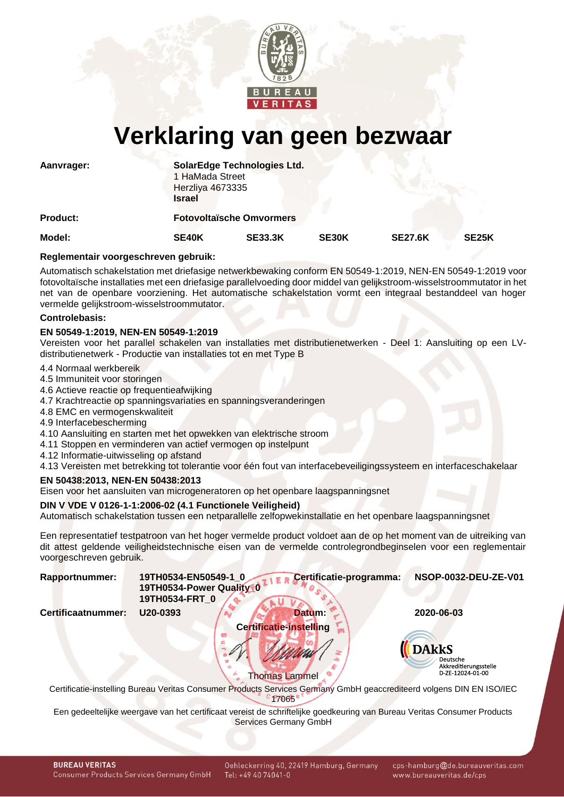

# **Verklaring van geen bezwaar**

| Aanvrager:      | <b>Israel</b> | SolarEdge Technologies Ltd.<br>1 HaMada Street<br>Herzliya 4673335 |       |                |                    |  |  |
|-----------------|---------------|--------------------------------------------------------------------|-------|----------------|--------------------|--|--|
| <b>Product:</b> |               | <b>Fotovoltaïsche Omvormers</b>                                    |       |                |                    |  |  |
| Model:          | SE40K         | <b>SE33.3K</b>                                                     | SE30K | <b>SE27.6K</b> | SE <sub>25</sub> K |  |  |

#### **Reglementair voorgeschreven gebruik:**

Automatisch schakelstation met driefasige netwerkbewaking conform EN 50549-1:2019, NEN-EN 50549-1:2019 voor fotovoltaïsche installaties met een driefasige parallelvoeding door middel van gelijkstroom-wisselstroommutator in het net van de openbare voorziening. Het automatische schakelstation vormt een integraal bestanddeel van hoger vermelde gelijkstroom-wisselstroommutator.

#### **Controlebasis:**

#### **EN 50549-1:2019, NEN-EN 50549-1:2019**

Vereisten voor het parallel schakelen van installaties met distributienetwerken - Deel 1: Aansluiting op een LVdistributienetwerk - Productie van installaties tot en met Type B

- 4.4 Normaal werkbereik
- 4.5 Immuniteit voor storingen
- 4.6 Actieve reactie op frequentieafwijking
- 4.7 Krachtreactie op spanningsvariaties en spanningsveranderingen
- 4.8 EMC en vermogenskwaliteit
- 4.9 Interfacebescherming
- 4.10 Aansluiting en starten met het opwekken van elektrische stroom
- 4.11 Stoppen en verminderen van actief vermogen op instelpunt
- 4.12 Informatie-uitwisseling op afstand
- 4.13 Vereisten met betrekking tot tolerantie voor één fout van interfacebeveiligingssysteem en interfaceschakelaar

## **EN 50438:2013, NEN-EN 50438:2013**

Eisen voor het aansluiten van microgeneratoren op het openbare laagspanningsnet

## **DIN V VDE V 0126-1-1:2006-02 (4.1 Functionele Veiligheid)**

Automatisch schakelstation tussen een netparallelle zelfopwekinstallatie en het openbare laagspanningsnet

Een representatief testpatroon van het hoger vermelde product voldoet aan de op het moment van de uitreiking van dit attest geldende veiligheidstechnische eisen van de vermelde controlegrondbeginselen voor een reglementair voorgeschreven gebruik.

<span id="page-0-1"></span>

| <b>Rapportnummer:</b> | 19TH0534-EN50549-1_0 Certificatie-programma: | NSOP-0032-DEU-ZE-V01 |
|-----------------------|----------------------------------------------|----------------------|
|                       | 19TH0534-Power Quality 0                     |                      |
|                       | 19TH0534-FRT $\frac{0}{4}$                   |                      |

<span id="page-0-0"></span>

**Certificaatnummer: U20-0393 Datum: 2020-06-03 Certificatie-instelling**



Thomas Lammel Certificatie-instelling Bureau Veritas Consumer Products Services Germany GmbH geaccrediteerd volgens DIN EN ISO/IEC  $c$   $f7065$ 

Een gedeeltelijke weergave van het certificaat vereist de schriftelijke goedkeuring van Bureau Veritas Consumer Products Services Germany GmbH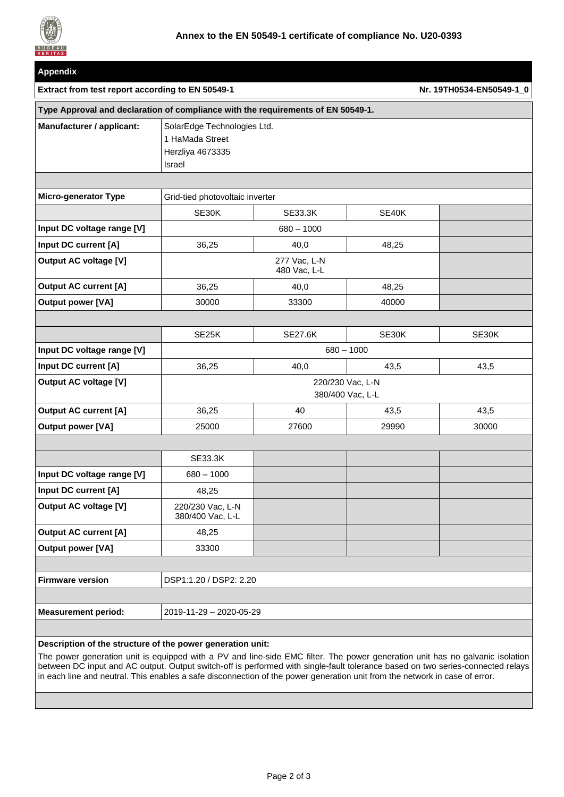

| <b>Appendix</b>                                                                  |                                                                                     |                |       |                          |  |
|----------------------------------------------------------------------------------|-------------------------------------------------------------------------------------|----------------|-------|--------------------------|--|
| Extract from test report according to EN 50549-1                                 |                                                                                     |                |       | Nr. 19TH0534-EN50549-1_0 |  |
| Type Approval and declaration of compliance with the requirements of EN 50549-1. |                                                                                     |                |       |                          |  |
| Manufacturer / applicant:                                                        | SolarEdge Technologies Ltd.<br>1 HaMada Street<br>Herzliya 4673335<br><b>Israel</b> |                |       |                          |  |
| <b>Micro-generator Type</b>                                                      | Grid-tied photovoltaic inverter                                                     |                |       |                          |  |
|                                                                                  | SE30K                                                                               | <b>SE33.3K</b> | SE40K |                          |  |
| Input DC voltage range [V]                                                       | $680 - 1000$                                                                        |                |       |                          |  |
| Input DC current [A]                                                             | 36,25                                                                               | 40,0           | 48,25 |                          |  |
| <b>Output AC voltage [V]</b>                                                     | 277 Vac, L-N<br>480 Vac, L-L                                                        |                |       |                          |  |
| <b>Output AC current [A]</b>                                                     | 36,25                                                                               | 40,0           | 48,25 |                          |  |
| <b>Output power [VA]</b>                                                         | 30000                                                                               | 33300          | 40000 |                          |  |
|                                                                                  |                                                                                     |                |       |                          |  |
|                                                                                  | SE25K                                                                               | <b>SE27.6K</b> | SE30K | SE30K                    |  |
| Input DC voltage range [V]                                                       | $680 - 1000$                                                                        |                |       |                          |  |
| Input DC current [A]                                                             | 36,25                                                                               | 40,0           | 43,5  | 43,5                     |  |
| <b>Output AC voltage [V]</b>                                                     | 220/230 Vac, L-N<br>380/400 Vac, L-L                                                |                |       |                          |  |
| <b>Output AC current [A]</b>                                                     | 36,25                                                                               | 40             | 43,5  | 43,5                     |  |
| <b>Output power [VA]</b>                                                         | 25000                                                                               | 27600          | 29990 | 30000                    |  |
|                                                                                  |                                                                                     |                |       |                          |  |
|                                                                                  | <b>SE33.3K</b>                                                                      |                |       |                          |  |
| Input DC voltage range [V]                                                       | $680 - 1000$                                                                        |                |       |                          |  |
| Input DC current [A]                                                             | 48,25                                                                               |                |       |                          |  |
| <b>Output AC voltage [V]</b>                                                     | 220/230 Vac, L-N<br>380/400 Vac, L-L                                                |                |       |                          |  |
| <b>Output AC current [A]</b>                                                     | 48,25                                                                               |                |       |                          |  |
| <b>Output power [VA]</b>                                                         | 33300                                                                               |                |       |                          |  |
|                                                                                  |                                                                                     |                |       |                          |  |
| <b>Firmware version</b>                                                          | DSP1:1.20 / DSP2: 2.20                                                              |                |       |                          |  |
|                                                                                  |                                                                                     |                |       |                          |  |
| <b>Measurement period:</b>                                                       | 2019-11-29 - 2020-05-29                                                             |                |       |                          |  |
| Description of the structure of the newer generation unit-                       |                                                                                     |                |       |                          |  |

**Description of the structure of the power generation unit:**

The power generation unit is equipped with a PV and line-side EMC filter. The power generation unit has no galvanic isolation between DC input and AC output. Output switch-off is performed with single-fault tolerance based on two series-connected relays in each line and neutral. This enables a safe disconnection of the power generation unit from the network in case of error.